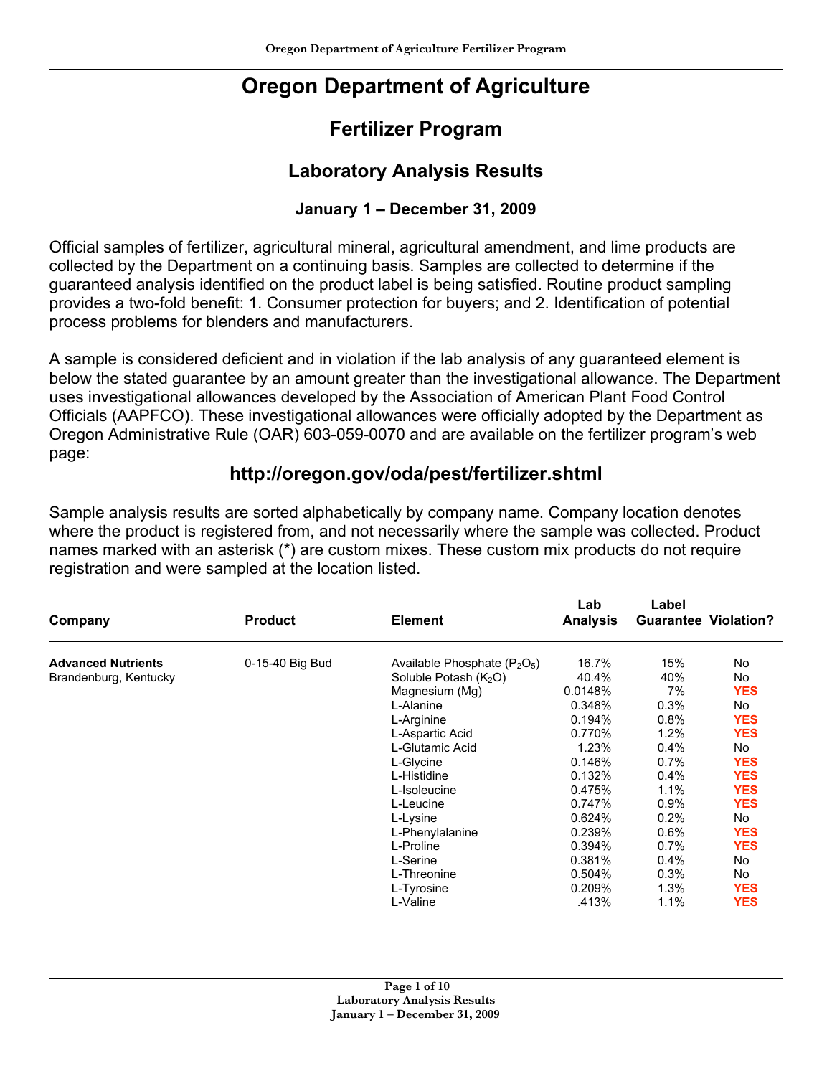# **Oregon Department of Agriculture**

## **Fertilizer Program**

### **Laboratory Analysis Results**

#### **January 1 – December 31, 2009**

Official samples of fertilizer, agricultural mineral, agricultural amendment, and lime products are collected by the Department on a continuing basis. Samples are collected to determine if the guaranteed analysis identified on the product label is being satisfied. Routine product sampling provides a two-fold benefit: 1. Consumer protection for buyers; and 2. Identification of potential process problems for blenders and manufacturers.

A sample is considered deficient and in violation if the lab analysis of any guaranteed element is below the stated guarantee by an amount greater than the investigational allowance. The Department uses investigational allowances developed by the Association of American Plant Food Control Officials (AAPFCO). These investigational allowances were officially adopted by the Department as Oregon Administrative Rule (OAR) 603-059-0070 and are available on the fertilizer program's web page:

#### **http://oregon.gov/oda/pest/fertilizer.shtml**

Sample analysis results are sorted alphabetically by company name. Company location denotes where the product is registered from, and not necessarily where the sample was collected. Product names marked with an asterisk (\*) are custom mixes. These custom mix products do not require registration and were sampled at the location listed.

| Company                   | <b>Product</b>  | <b>Element</b>                 | Lab<br><b>Analysis</b> | Label<br><b>Guarantee Violation?</b> |            |
|---------------------------|-----------------|--------------------------------|------------------------|--------------------------------------|------------|
| <b>Advanced Nutrients</b> | 0-15-40 Big Bud | Available Phosphate $(P_2O_5)$ | 16.7%                  | 15%                                  | No         |
| Brandenburg, Kentucky     |                 | Soluble Potash $(K_2O)$        | 40.4%                  | 40%                                  | No         |
|                           |                 | Magnesium (Mg)                 | 0.0148%                | 7%                                   | <b>YES</b> |
|                           |                 | L-Alanine                      | 0.348%                 | 0.3%                                 | No         |
|                           |                 | L-Arginine                     | 0.194%                 | 0.8%                                 | <b>YES</b> |
|                           |                 | L-Aspartic Acid                | 0.770%                 | 1.2%                                 | <b>YES</b> |
|                           |                 | L-Glutamic Acid                | 1.23%                  | 0.4%                                 | No         |
|                           |                 | L-Glycine                      | 0.146%                 | 0.7%                                 | <b>YES</b> |
|                           |                 | L-Histidine                    | 0.132%                 | 0.4%                                 | <b>YES</b> |
|                           |                 | L-Isoleucine                   | 0.475%                 | 1.1%                                 | <b>YES</b> |
|                           |                 | L-Leucine                      | 0.747%                 | 0.9%                                 | <b>YES</b> |
|                           |                 | L-Lysine                       | 0.624%                 | 0.2%                                 | No         |
|                           |                 | L-Phenylalanine                | 0.239%                 | 0.6%                                 | <b>YES</b> |
|                           |                 | L-Proline                      | 0.394%                 | 0.7%                                 | <b>YES</b> |
|                           |                 | L-Serine                       | 0.381%                 | 0.4%                                 | No         |
|                           |                 | L-Threonine                    | 0.504%                 | 0.3%                                 | No         |
|                           |                 | L-Tyrosine                     | 0.209%                 | 1.3%                                 | <b>YES</b> |
|                           |                 | L-Valine                       | .413%                  | 1.1%                                 | <b>YES</b> |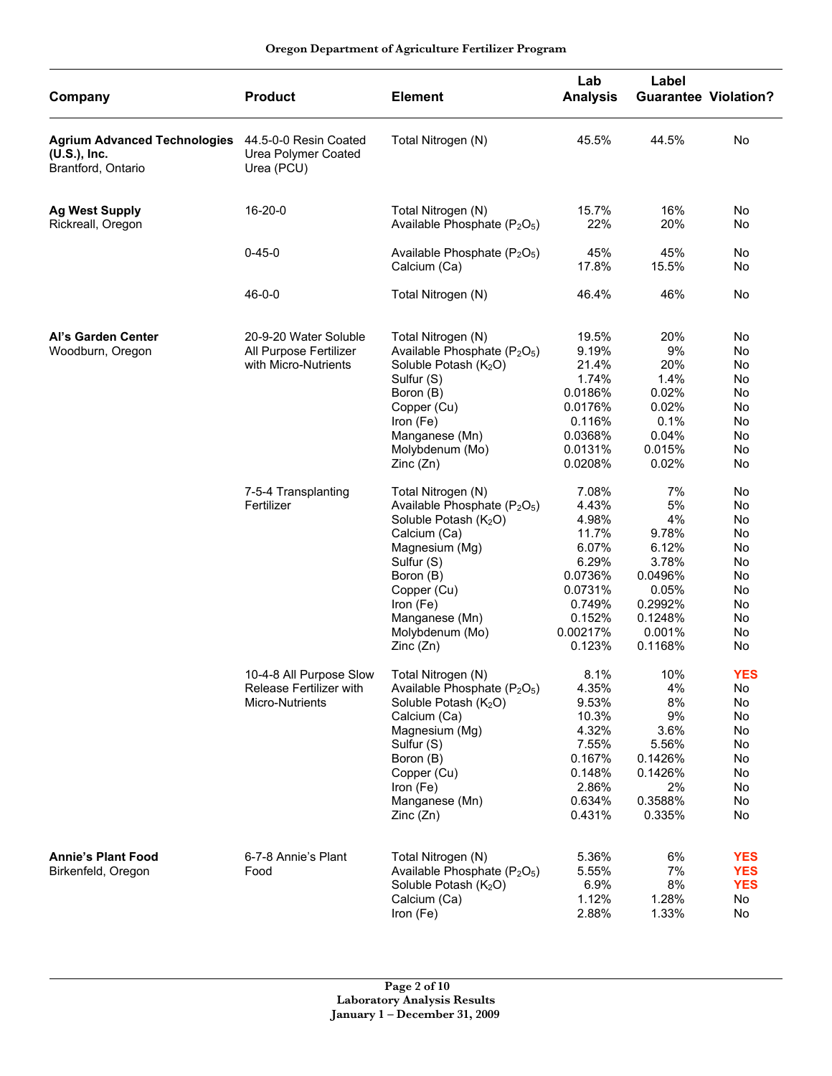| Company                                                                   | <b>Product</b>                                                          | <b>Element</b>                                                                                                                                                                                                                                            | Lab<br><b>Analysis</b>                                                                                             | Label                                                                                                    | <b>Guarantee Violation?</b>                                            |
|---------------------------------------------------------------------------|-------------------------------------------------------------------------|-----------------------------------------------------------------------------------------------------------------------------------------------------------------------------------------------------------------------------------------------------------|--------------------------------------------------------------------------------------------------------------------|----------------------------------------------------------------------------------------------------------|------------------------------------------------------------------------|
| <b>Agrium Advanced Technologies</b><br>(U.S.), Inc.<br>Brantford, Ontario | 44.5-0-0 Resin Coated<br>Urea Polymer Coated<br>Urea (PCU)              | Total Nitrogen (N)                                                                                                                                                                                                                                        | 45.5%                                                                                                              | 44.5%                                                                                                    | No                                                                     |
| <b>Ag West Supply</b>                                                     | $16 - 20 - 0$                                                           | Total Nitrogen (N)                                                                                                                                                                                                                                        | 15.7%                                                                                                              | 16%                                                                                                      | No                                                                     |
| Rickreall, Oregon                                                         |                                                                         | Available Phosphate $(P_2O_5)$                                                                                                                                                                                                                            | 22%                                                                                                                | 20%                                                                                                      | No                                                                     |
|                                                                           | $0 - 45 - 0$                                                            | Available Phosphate (P <sub>2</sub> O <sub>5</sub> )<br>Calcium (Ca)                                                                                                                                                                                      | 45%<br>17.8%                                                                                                       | 45%<br>15.5%                                                                                             | No<br>No                                                               |
|                                                                           | $46 - 0 - 0$                                                            | Total Nitrogen (N)                                                                                                                                                                                                                                        | 46.4%                                                                                                              | 46%                                                                                                      | No                                                                     |
| Al's Garden Center<br>Woodburn, Oregon                                    | 20-9-20 Water Soluble<br>All Purpose Fertilizer<br>with Micro-Nutrients | Total Nitrogen (N)<br>Available Phosphate (P <sub>2</sub> O <sub>5</sub> )<br>Soluble Potash (K <sub>2</sub> O)<br>Sulfur (S)<br>Boron (B)<br>Copper (Cu)<br>Iron (Fe)                                                                                    | 19.5%<br>9.19%<br>21.4%<br>1.74%<br>0.0186%<br>0.0176%<br>0.116%                                                   | 20%<br>9%<br>20%<br>1.4%<br>0.02%<br>0.02%<br>0.1%                                                       | No<br>No<br>No<br>No<br>No<br>No<br>No                                 |
|                                                                           |                                                                         | Manganese (Mn)<br>Molybdenum (Mo)<br>Zinc(Zn)                                                                                                                                                                                                             | 0.0368%<br>0.0131%<br>0.0208%                                                                                      | 0.04%<br>0.015%<br>0.02%                                                                                 | No<br>No<br>No                                                         |
|                                                                           | 7-5-4 Transplanting<br>Fertilizer                                       | Total Nitrogen (N)<br>Available Phosphate (P <sub>2</sub> O <sub>5</sub> )<br>Soluble Potash (K <sub>2</sub> O)<br>Calcium (Ca)<br>Magnesium (Mg)<br>Sulfur (S)<br>Boron (B)<br>Copper (Cu)<br>Iron (Fe)<br>Manganese (Mn)<br>Molybdenum (Mo)<br>Zinc(Zn) | 7.08%<br>4.43%<br>4.98%<br>11.7%<br>6.07%<br>6.29%<br>0.0736%<br>0.0731%<br>0.749%<br>0.152%<br>0.00217%<br>0.123% | 7%<br>5%<br>4%<br>9.78%<br>6.12%<br>3.78%<br>0.0496%<br>0.05%<br>0.2992%<br>0.1248%<br>0.001%<br>0.1168% | No<br>No<br>No<br>No<br>No<br>No<br>No<br>No<br>No<br>No<br>No<br>No   |
|                                                                           | 10-4-8 All Purpose Slow<br>Release Fertilizer with<br>Micro-Nutrients   | Total Nitrogen (N)<br>Available Phosphate (P <sub>2</sub> O <sub>5</sub> )<br>Soluble Potash (K <sub>2</sub> O)<br>Calcium (Ca)<br>Magnesium (Mg)<br>Sulfur (S)<br>Boron (B)<br>Copper (Cu)<br>Iron (Fe)<br>Manganese (Mn)<br>Zinc(Zn)                    | 8.1%<br>4.35%<br>9.53%<br>10.3%<br>4.32%<br>7.55%<br>0.167%<br>0.148%<br>2.86%<br>0.634%<br>0.431%                 | 10%<br>4%<br>8%<br>9%<br>3.6%<br>5.56%<br>0.1426%<br>0.1426%<br>2%<br>0.3588%<br>0.335%                  | <b>YES</b><br>No<br>No<br>No<br>No<br>No<br>No<br>No<br>No<br>No<br>No |
| <b>Annie's Plant Food</b><br>Birkenfeld, Oregon                           | 6-7-8 Annie's Plant<br>Food                                             | Total Nitrogen (N)<br>Available Phosphate (P <sub>2</sub> O <sub>5</sub> )<br>Soluble Potash (K <sub>2</sub> O)<br>Calcium (Ca)<br>Iron (Fe)                                                                                                              | 5.36%<br>5.55%<br>6.9%<br>1.12%<br>2.88%                                                                           | 6%<br>7%<br>8%<br>1.28%<br>1.33%                                                                         | <b>YES</b><br><b>YES</b><br><b>YES</b><br>No<br>No                     |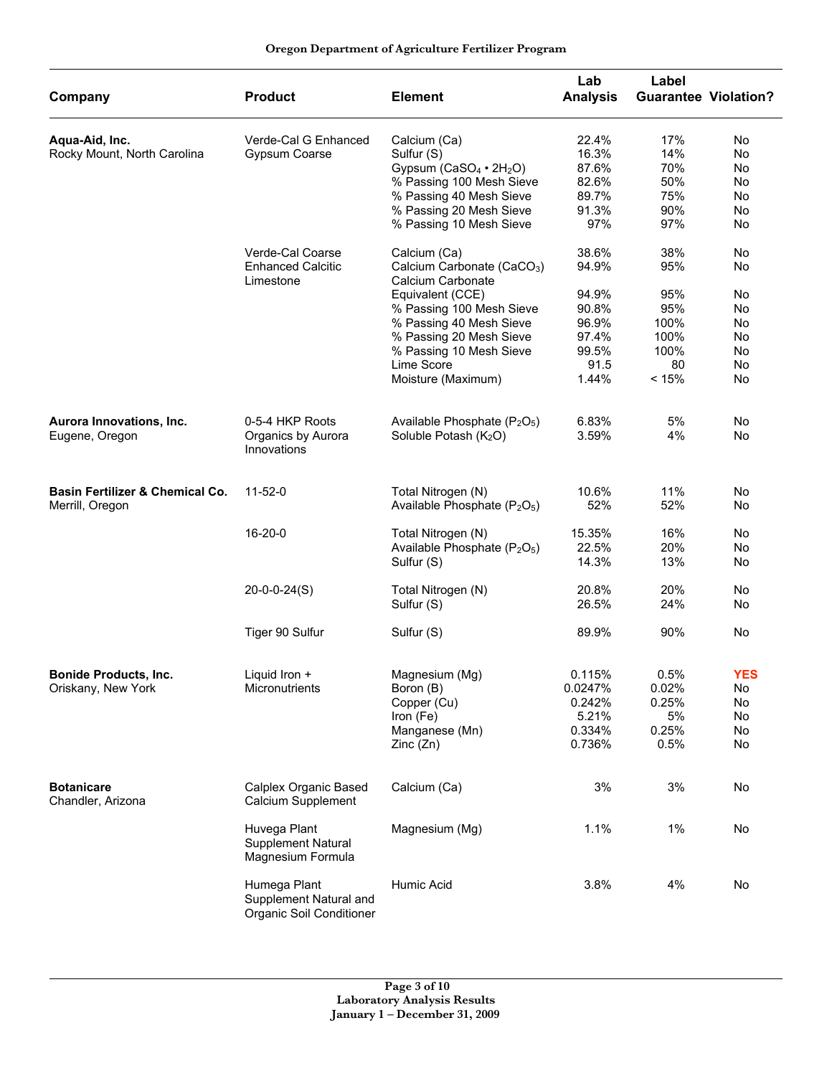| Oregon Department of Agriculture Fertilizer Program |  |  |  |
|-----------------------------------------------------|--|--|--|
|-----------------------------------------------------|--|--|--|

| Company                                    | <b>Product</b>                                                     | <b>Element</b>                                              | Lab<br><b>Analysis</b> | Label<br><b>Guarantee Violation?</b> |            |
|--------------------------------------------|--------------------------------------------------------------------|-------------------------------------------------------------|------------------------|--------------------------------------|------------|
| Aqua-Aid, Inc.                             | Verde-Cal G Enhanced                                               | Calcium (Ca)                                                | 22.4%                  | 17%                                  | No         |
| Rocky Mount, North Carolina                | <b>Gypsum Coarse</b>                                               | Sulfur (S)                                                  | 16.3%                  | 14%                                  | No         |
|                                            |                                                                    | Gypsum (CaSO <sub>4</sub> · 2H <sub>2</sub> O)              | 87.6%                  | 70%                                  | No         |
|                                            |                                                                    | % Passing 100 Mesh Sieve                                    | 82.6%                  | 50%                                  | No         |
|                                            |                                                                    | % Passing 40 Mesh Sieve                                     | 89.7%                  | 75%                                  | No         |
|                                            |                                                                    | % Passing 20 Mesh Sieve                                     | 91.3%                  | 90%                                  | No         |
|                                            |                                                                    | % Passing 10 Mesh Sieve                                     | 97%                    | 97%                                  | No         |
|                                            | Verde-Cal Coarse                                                   | Calcium (Ca)                                                | 38.6%                  | 38%                                  | No         |
|                                            | <b>Enhanced Calcitic</b><br>Limestone                              | Calcium Carbonate (CaCO <sub>3</sub> )<br>Calcium Carbonate | 94.9%                  | 95%                                  | No         |
|                                            |                                                                    | Equivalent (CCE)                                            | 94.9%                  | 95%                                  | No         |
|                                            |                                                                    | % Passing 100 Mesh Sieve                                    | 90.8%                  | 95%                                  | No         |
|                                            |                                                                    | % Passing 40 Mesh Sieve                                     | 96.9%                  | 100%                                 | No         |
|                                            |                                                                    | % Passing 20 Mesh Sieve                                     | 97.4%                  | 100%                                 | No         |
|                                            |                                                                    | % Passing 10 Mesh Sieve                                     | 99.5%                  | 100%                                 | No         |
|                                            |                                                                    |                                                             |                        |                                      |            |
|                                            |                                                                    | Lime Score<br>Moisture (Maximum)                            | 91.5<br>1.44%          | 80<br>< 15%                          | No<br>No   |
|                                            |                                                                    |                                                             |                        |                                      |            |
| Aurora Innovations, Inc.                   | 0-5-4 HKP Roots                                                    | Available Phosphate (P <sub>2</sub> O <sub>5</sub> )        | 6.83%                  | 5%                                   | No         |
| Eugene, Oregon                             | Organics by Aurora<br>Innovations                                  | Soluble Potash (K <sub>2</sub> O)                           | 3.59%                  | 4%                                   | No         |
| <b>Basin Fertilizer &amp; Chemical Co.</b> | $11 - 52 - 0$                                                      | Total Nitrogen (N)                                          | 10.6%                  | 11%                                  | No         |
| Merrill, Oregon                            |                                                                    | Available Phosphate (P <sub>2</sub> O <sub>5</sub> )        | 52%                    | 52%                                  | No         |
|                                            | 16-20-0                                                            | Total Nitrogen (N)                                          | 15.35%                 | 16%                                  | No         |
|                                            |                                                                    | Available Phosphate (P <sub>2</sub> O <sub>5</sub> )        | 22.5%                  | 20%                                  | No         |
|                                            |                                                                    | Sulfur (S)                                                  | 14.3%                  | 13%                                  | No         |
|                                            | $20-0-0-24(S)$                                                     | Total Nitrogen (N)                                          | 20.8%                  | 20%                                  | No         |
|                                            |                                                                    | Sulfur (S)                                                  | 26.5%                  | 24%                                  | No         |
|                                            | Tiger 90 Sulfur                                                    | Sulfur (S)                                                  | 89.9%                  | 90%                                  | No         |
|                                            |                                                                    |                                                             |                        |                                      |            |
| <b>Bonide Products, Inc.</b>               | Liquid Iron +                                                      | Magnesium (Mg)                                              | 0.115%                 | 0.5%                                 | <b>YES</b> |
| Oriskany, New York                         | Micronutrients                                                     | Boron (B)                                                   | 0.0247%                | 0.02%                                | No         |
|                                            |                                                                    | Copper (Cu)                                                 | 0.242%                 | 0.25%                                | No         |
|                                            |                                                                    | Iron (Fe)                                                   | 5.21%                  | 5%                                   | No         |
|                                            |                                                                    | Manganese (Mn)                                              | 0.334%                 | 0.25%                                | No         |
|                                            |                                                                    | Zinc (Zn)                                                   | 0.736%                 | 0.5%                                 | No         |
| <b>Botanicare</b><br>Chandler, Arizona     | Calplex Organic Based<br>Calcium Supplement                        | Calcium (Ca)                                                | 3%                     | 3%                                   | No         |
|                                            | Huvega Plant<br><b>Supplement Natural</b><br>Magnesium Formula     | Magnesium (Mg)                                              | 1.1%                   | $1\%$                                | No         |
|                                            | Humega Plant<br>Supplement Natural and<br>Organic Soil Conditioner | Humic Acid                                                  | 3.8%                   | 4%                                   | No         |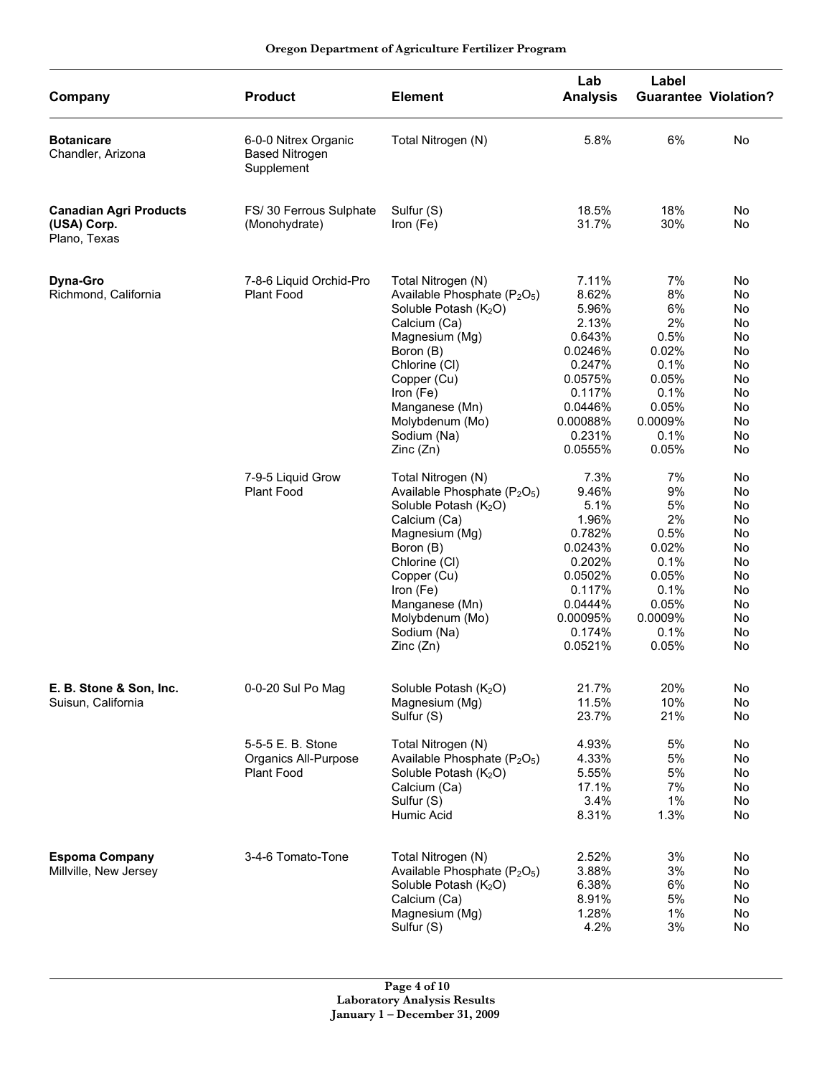| Company                                                      | <b>Product</b>                                                 | <b>Element</b>                                                                                                                                                                                                                                                               | Lab<br><b>Analysis</b>                                                                                                           | Label                                                                                               | <b>Guarantee Violation?</b>                                                                     |
|--------------------------------------------------------------|----------------------------------------------------------------|------------------------------------------------------------------------------------------------------------------------------------------------------------------------------------------------------------------------------------------------------------------------------|----------------------------------------------------------------------------------------------------------------------------------|-----------------------------------------------------------------------------------------------------|-------------------------------------------------------------------------------------------------|
| <b>Botanicare</b><br>Chandler, Arizona                       | 6-0-0 Nitrex Organic<br><b>Based Nitrogen</b><br>Supplement    | Total Nitrogen (N)                                                                                                                                                                                                                                                           | 5.8%                                                                                                                             | 6%                                                                                                  | No                                                                                              |
| <b>Canadian Agri Products</b><br>(USA) Corp.<br>Plano, Texas | FS/30 Ferrous Sulphate<br>(Monohydrate)                        | Sulfur (S)<br>Iron (Fe)                                                                                                                                                                                                                                                      | 18.5%<br>31.7%                                                                                                                   | 18%<br>30%                                                                                          | No<br><b>No</b>                                                                                 |
| <b>Dyna-Gro</b><br>Richmond, California                      | 7-8-6 Liquid Orchid-Pro<br><b>Plant Food</b>                   | Total Nitrogen (N)<br>Available Phosphate (P <sub>2</sub> O <sub>5</sub> )<br>Soluble Potash (K <sub>2</sub> O)<br>Calcium (Ca)<br>Magnesium (Mg)<br>Boron (B)<br>Chlorine (CI)<br>Copper (Cu)<br>Iron (Fe)<br>Manganese (Mn)<br>Molybdenum (Mo)<br>Sodium (Na)<br>Zinc (Zn) | 7.11%<br>8.62%<br>5.96%<br>2.13%<br>0.643%<br>0.0246%<br>0.247%<br>0.0575%<br>0.117%<br>0.0446%<br>0.00088%<br>0.231%<br>0.0555% | 7%<br>8%<br>6%<br>2%<br>0.5%<br>0.02%<br>0.1%<br>0.05%<br>0.1%<br>0.05%<br>0.0009%<br>0.1%<br>0.05% | No<br>No<br>No<br>No<br><b>No</b><br><b>No</b><br><b>No</b><br>No<br>No<br>No<br>No<br>No<br>No |
|                                                              | 7-9-5 Liquid Grow<br><b>Plant Food</b>                         | Total Nitrogen (N)<br>Available Phosphate (P <sub>2</sub> O <sub>5</sub> )<br>Soluble Potash (K <sub>2</sub> O)<br>Calcium (Ca)<br>Magnesium (Mg)<br>Boron (B)<br>Chlorine (CI)<br>Copper (Cu)<br>Iron (Fe)<br>Manganese (Mn)<br>Molybdenum (Mo)<br>Sodium (Na)<br>Zinc(Zn)  | 7.3%<br>9.46%<br>5.1%<br>1.96%<br>0.782%<br>0.0243%<br>0.202%<br>0.0502%<br>0.117%<br>0.0444%<br>0.00095%<br>0.174%<br>0.0521%   | 7%<br>9%<br>5%<br>2%<br>0.5%<br>0.02%<br>0.1%<br>0.05%<br>0.1%<br>0.05%<br>0.0009%<br>0.1%<br>0.05% | No<br>No<br>No<br>No<br>No<br>No<br>No<br>No<br>No<br>No<br>No<br>No<br>No                      |
| E. B. Stone & Son, Inc.<br>Suisun, California                | 0-0-20 Sul Po Mag                                              | Soluble Potash (K <sub>2</sub> O)<br>Magnesium (Mg)<br>Sulfur (S)                                                                                                                                                                                                            | 21.7%<br>11.5%<br>23.7%                                                                                                          | 20%<br>10%<br>21%                                                                                   | No<br>No<br>No                                                                                  |
|                                                              | 5-5-5 E. B. Stone<br>Organics All-Purpose<br><b>Plant Food</b> | Total Nitrogen (N)<br>Available Phosphate (P <sub>2</sub> O <sub>5</sub> )<br>Soluble Potash (K <sub>2</sub> O)<br>Calcium (Ca)<br>Sulfur (S)<br>Humic Acid                                                                                                                  | 4.93%<br>4.33%<br>5.55%<br>17.1%<br>3.4%<br>8.31%                                                                                | 5%<br>5%<br>5%<br>7%<br>1%<br>1.3%                                                                  | No<br>No<br>No<br>No<br>No<br>No                                                                |
| <b>Espoma Company</b><br>Millville, New Jersey               | 3-4-6 Tomato-Tone                                              | Total Nitrogen (N)<br>Available Phosphate (P <sub>2</sub> O <sub>5</sub> )<br>Soluble Potash (K <sub>2</sub> O)<br>Calcium (Ca)<br>Magnesium (Mg)<br>Sulfur (S)                                                                                                              | 2.52%<br>3.88%<br>6.38%<br>8.91%<br>1.28%<br>4.2%                                                                                | 3%<br>3%<br>6%<br>5%<br>1%<br>3%                                                                    | No<br>No<br>No<br>No<br>No<br>No                                                                |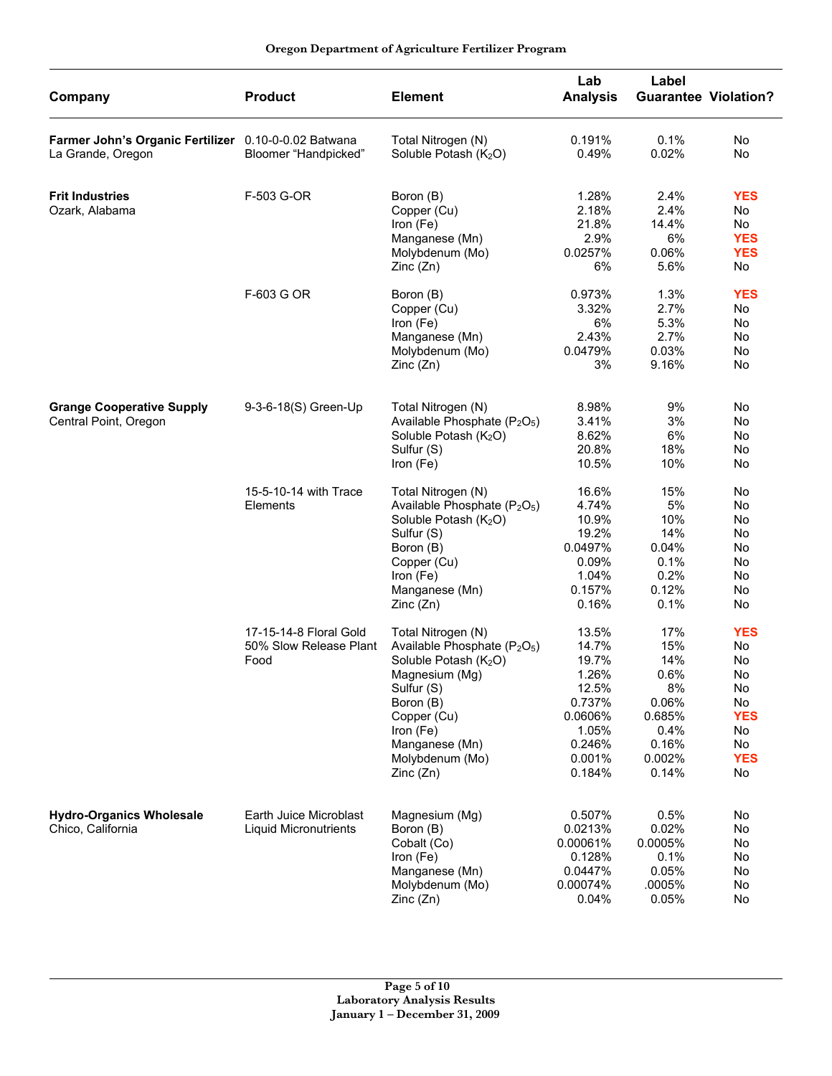| Company                                                                   | <b>Product</b>                                           | <b>Element</b>                                                                                                                                                                                                                            | Lab<br><b>Analysis</b>                                                                                | Label<br><b>Guarantee Violation?</b>                                                   |                                                                                        |
|---------------------------------------------------------------------------|----------------------------------------------------------|-------------------------------------------------------------------------------------------------------------------------------------------------------------------------------------------------------------------------------------------|-------------------------------------------------------------------------------------------------------|----------------------------------------------------------------------------------------|----------------------------------------------------------------------------------------|
| Farmer John's Organic Fertilizer 0.10-0-0.02 Batwana<br>La Grande, Oregon | Bloomer "Handpicked"                                     | Total Nitrogen (N)<br>Soluble Potash (K <sub>2</sub> O)                                                                                                                                                                                   | 0.191%<br>0.49%                                                                                       | 0.1%<br>0.02%                                                                          | No<br>No                                                                               |
| <b>Frit Industries</b><br>Ozark, Alabama                                  | F-503 G-OR                                               | Boron (B)<br>Copper (Cu)<br>Iron (Fe)<br>Manganese (Mn)<br>Molybdenum (Mo)<br>Zinc (Zn)                                                                                                                                                   | 1.28%<br>2.18%<br>21.8%<br>2.9%<br>0.0257%<br>6%                                                      | 2.4%<br>2.4%<br>14.4%<br>6%<br>0.06%<br>5.6%                                           | <b>YES</b><br>No<br>No<br><b>YES</b><br><b>YES</b><br>No                               |
|                                                                           | F-603 G OR                                               | Boron (B)<br>Copper (Cu)<br>Iron (Fe)<br>Manganese (Mn)<br>Molybdenum (Mo)<br>Zinc (Zn)                                                                                                                                                   | 0.973%<br>3.32%<br>6%<br>2.43%<br>0.0479%<br>3%                                                       | 1.3%<br>2.7%<br>5.3%<br>2.7%<br>0.03%<br>9.16%                                         | <b>YES</b><br>No<br>No<br>No<br>No<br>No                                               |
| <b>Grange Cooperative Supply</b><br>Central Point, Oregon                 | 9-3-6-18(S) Green-Up                                     | Total Nitrogen (N)<br>Available Phosphate (P <sub>2</sub> O <sub>5</sub> )<br>Soluble Potash (K <sub>2</sub> O)<br>Sulfur (S)<br>Iron (Fe)                                                                                                | 8.98%<br>3.41%<br>8.62%<br>20.8%<br>10.5%                                                             | 9%<br>3%<br>6%<br>18%<br>10%                                                           | No<br>No<br>No<br>No<br>No                                                             |
|                                                                           | 15-5-10-14 with Trace<br>Elements                        | Total Nitrogen (N)<br>Available Phosphate (P <sub>2</sub> O <sub>5</sub> )<br>Soluble Potash (K <sub>2</sub> O)<br>Sulfur (S)<br>Boron (B)<br>Copper (Cu)<br>Iron (Fe)<br>Manganese (Mn)<br>Zinc(Zn)                                      | 16.6%<br>4.74%<br>10.9%<br>19.2%<br>0.0497%<br>0.09%<br>1.04%<br>0.157%<br>0.16%                      | 15%<br>5%<br>10%<br>14%<br>0.04%<br>0.1%<br>0.2%<br>0.12%<br>0.1%                      | No<br>No<br>No<br>No<br>No<br>No<br>No<br>No<br>No                                     |
|                                                                           | 17-15-14-8 Floral Gold<br>50% Slow Release Plant<br>Food | Total Nitrogen (N)<br>Available Phosphate (P <sub>2</sub> O <sub>5</sub> )<br>Soluble Potash (K <sub>2</sub> O)<br>Magnesium (Mg)<br>Sulfur (S)<br>Boron (B)<br>Copper (Cu)<br>Iron (Fe)<br>Manganese (Mn)<br>Molybdenum (Mo)<br>Zinc(Zn) | 13.5%<br>14.7%<br>19.7%<br>1.26%<br>12.5%<br>0.737%<br>0.0606%<br>1.05%<br>0.246%<br>0.001%<br>0.184% | 17%<br>15%<br>14%<br>0.6%<br>8%<br>0.06%<br>0.685%<br>0.4%<br>0.16%<br>0.002%<br>0.14% | <b>YES</b><br>No<br>No<br>No<br>No<br>No<br><b>YES</b><br>No<br>No<br><b>YES</b><br>No |
| <b>Hydro-Organics Wholesale</b><br>Chico, California                      | Earth Juice Microblast<br><b>Liquid Micronutrients</b>   | Magnesium (Mg)<br>Boron (B)<br>Cobalt (Co)<br>Iron (Fe)<br>Manganese (Mn)<br>Molybdenum (Mo)<br>Zinc (Zn)                                                                                                                                 | 0.507%<br>0.0213%<br>0.00061%<br>0.128%<br>0.0447%<br>0.00074%<br>0.04%                               | 0.5%<br>0.02%<br>0.0005%<br>0.1%<br>0.05%<br>.0005%<br>0.05%                           | No<br>No<br>No<br>No<br>No<br>No<br>No                                                 |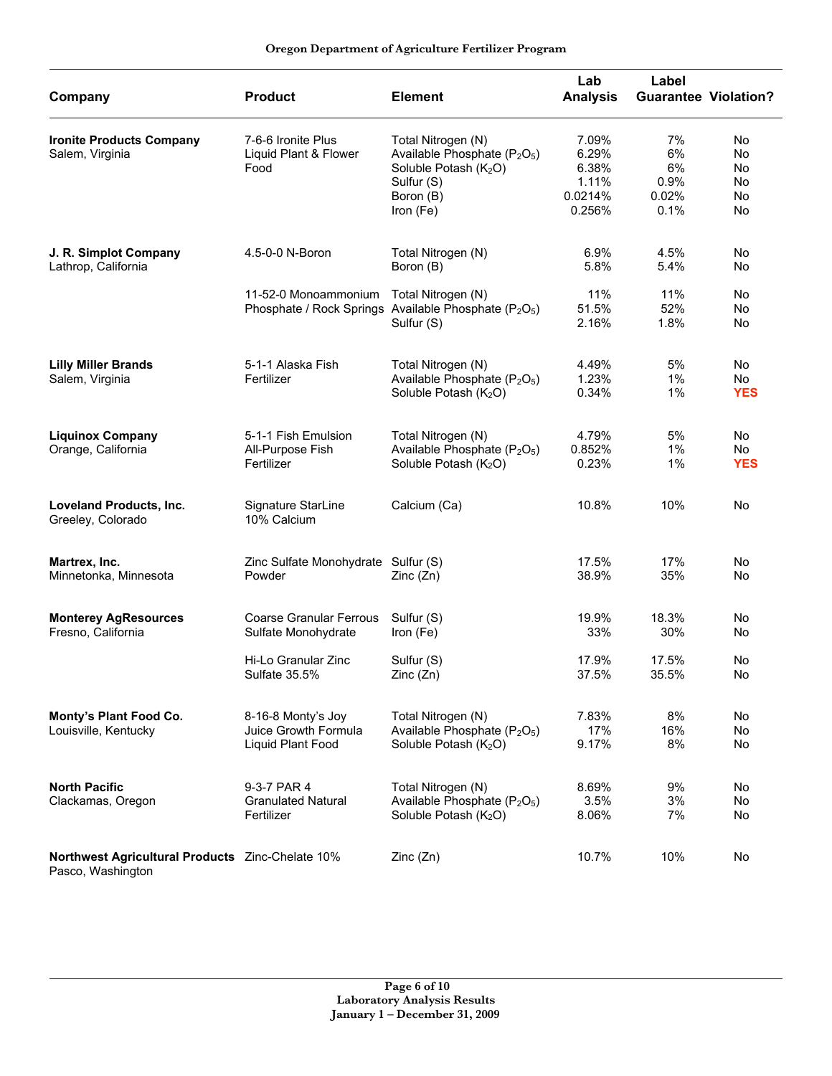|  |  | Oregon Department of Agriculture Fertilizer Program |  |  |
|--|--|-----------------------------------------------------|--|--|
|--|--|-----------------------------------------------------|--|--|

| Company                                                               | <b>Product</b>                      | <b>Element</b>                                                                | Lab<br><b>Analysis</b> | Label<br><b>Guarantee Violation?</b> |            |
|-----------------------------------------------------------------------|-------------------------------------|-------------------------------------------------------------------------------|------------------------|--------------------------------------|------------|
|                                                                       |                                     |                                                                               |                        |                                      |            |
| <b>Ironite Products Company</b>                                       | 7-6-6 Ironite Plus                  | Total Nitrogen (N)                                                            | 7.09%                  | 7%                                   | No         |
| Salem, Virginia                                                       | Liquid Plant & Flower               | Available Phosphate (P <sub>2</sub> O <sub>5</sub> )                          | 6.29%                  | 6%                                   | No         |
|                                                                       | Food                                | Soluble Potash (K <sub>2</sub> O)                                             | 6.38%                  | 6%                                   | No         |
|                                                                       |                                     | Sulfur (S)                                                                    | 1.11%                  | 0.9%                                 | No         |
|                                                                       |                                     | Boron (B)                                                                     | 0.0214%                | 0.02%                                | No         |
|                                                                       |                                     | Iron (Fe)                                                                     | 0.256%                 | 0.1%                                 | No         |
| J. R. Simplot Company                                                 | 4.5-0-0 N-Boron                     | Total Nitrogen (N)                                                            | 6.9%                   | 4.5%                                 | No         |
|                                                                       |                                     |                                                                               |                        |                                      |            |
| Lathrop, California                                                   |                                     | Boron (B)                                                                     | 5.8%                   | 5.4%                                 | No         |
|                                                                       | 11-52-0 Monoammonium                | Total Nitrogen (N)                                                            | 11%                    | 11%                                  | No         |
|                                                                       |                                     | Phosphate / Rock Springs Available Phosphate (P <sub>2</sub> O <sub>5</sub> ) | 51.5%                  | 52%                                  | No         |
|                                                                       |                                     | Sulfur (S)                                                                    | 2.16%                  | 1.8%                                 | No         |
|                                                                       |                                     |                                                                               |                        |                                      |            |
| <b>Lilly Miller Brands</b>                                            | 5-1-1 Alaska Fish                   | Total Nitrogen (N)                                                            | 4.49%                  | 5%                                   | No         |
| Salem, Virginia                                                       | Fertilizer                          | Available Phosphate (P <sub>2</sub> O <sub>5</sub> )                          | 1.23%                  | $1\%$                                | No         |
|                                                                       |                                     | Soluble Potash (K <sub>2</sub> O)                                             | 0.34%                  | $1\%$                                | <b>YES</b> |
| <b>Liquinox Company</b>                                               | 5-1-1 Fish Emulsion                 | Total Nitrogen (N)                                                            | 4.79%                  | 5%                                   | No         |
|                                                                       |                                     |                                                                               | 0.852%                 |                                      |            |
| Orange, California                                                    | All-Purpose Fish<br>Fertilizer      | Available Phosphate (P <sub>2</sub> O <sub>5</sub> )                          |                        | $1\%$                                | No         |
|                                                                       |                                     | Soluble Potash (K <sub>2</sub> O)                                             | 0.23%                  | 1%                                   | <b>YES</b> |
| Loveland Products, Inc.                                               | Signature StarLine                  | Calcium (Ca)                                                                  | 10.8%                  | 10%                                  | No         |
| Greeley, Colorado                                                     | 10% Calcium                         |                                                                               |                        |                                      |            |
| Martrex, Inc.                                                         | Zinc Sulfate Monohydrate Sulfur (S) |                                                                               | 17.5%                  | 17%                                  | No         |
|                                                                       | Powder                              |                                                                               | 38.9%                  | 35%                                  | No         |
| Minnetonka, Minnesota                                                 |                                     | Zinc(Zn)                                                                      |                        |                                      |            |
| <b>Monterey AgResources</b>                                           | <b>Coarse Granular Ferrous</b>      | Sulfur (S)                                                                    | 19.9%                  | 18.3%                                | No         |
| Fresno, California                                                    | Sulfate Monohydrate                 | Iron (Fe)                                                                     | 33%                    | 30%                                  | No         |
|                                                                       | Hi-Lo Granular Zinc                 | Sulfur (S)                                                                    | 17.9%                  | 17.5%                                | No         |
|                                                                       | Sulfate 35.5%                       | Zinc (Zn)                                                                     | 37.5%                  | 35.5%                                | No         |
| Monty's Plant Food Co.                                                | 8-16-8 Monty's Joy                  | Total Nitrogen (N)                                                            | 7.83%                  | 8%                                   | No         |
| Louisville, Kentucky                                                  | Juice Growth Formula                | Available Phosphate (P <sub>2</sub> O <sub>5</sub> )                          | 17%                    | 16%                                  | No         |
|                                                                       |                                     |                                                                               |                        |                                      |            |
|                                                                       | Liquid Plant Food                   | Soluble Potash (K <sub>2</sub> O)                                             | 9.17%                  | 8%                                   | No         |
| <b>North Pacific</b>                                                  | 9-3-7 PAR 4                         | Total Nitrogen (N)                                                            | 8.69%                  | 9%                                   | No         |
| Clackamas, Oregon                                                     | <b>Granulated Natural</b>           | Available Phosphate (P <sub>2</sub> O <sub>5</sub> )                          | 3.5%                   | 3%                                   | No         |
|                                                                       | Fertilizer                          | Soluble Potash (K <sub>2</sub> O)                                             | 8.06%                  | 7%                                   | No         |
|                                                                       |                                     |                                                                               |                        |                                      |            |
| Northwest Agricultural Products Zinc-Chelate 10%<br>Pasco, Washington |                                     | Zinc(Zn)                                                                      | 10.7%                  | 10%                                  | No         |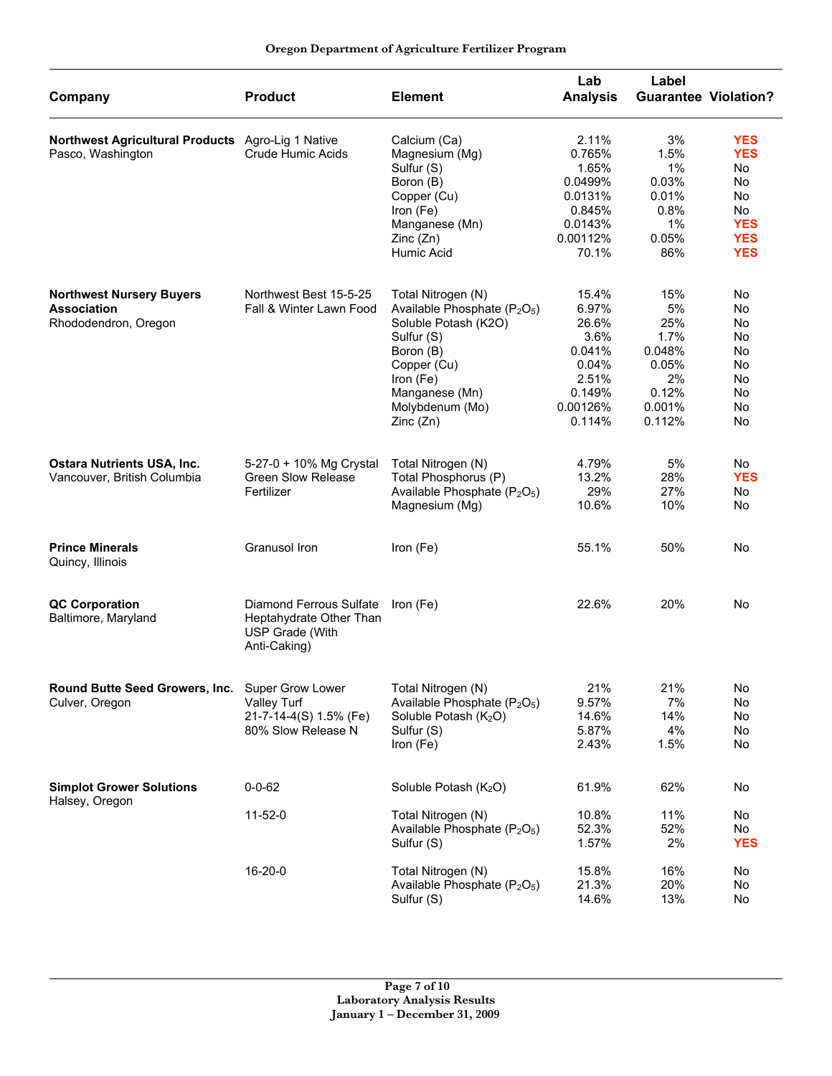|                                                   |                                                                                       |                                                      | Lab             | Label                       |            |
|---------------------------------------------------|---------------------------------------------------------------------------------------|------------------------------------------------------|-----------------|-----------------------------|------------|
| Company                                           | <b>Product</b>                                                                        | <b>Element</b>                                       | <b>Analysis</b> | <b>Guarantee Violation?</b> |            |
| Northwest Agricultural Products Agro-Lig 1 Native |                                                                                       | Calcium (Ca)                                         | 2.11%           | 3%                          | <b>YES</b> |
| Pasco, Washington                                 | Crude Humic Acids                                                                     | Magnesium (Mg)                                       | 0.765%          | 1.5%                        | <b>YES</b> |
|                                                   |                                                                                       | Sulfur (S)                                           | 1.65%           | 1%                          | No         |
|                                                   |                                                                                       | Boron (B)                                            | 0.0499%         | 0.03%                       | No.        |
|                                                   |                                                                                       | Copper (Cu)                                          | 0.0131%         | 0.01%                       | No.        |
|                                                   |                                                                                       | Iron (Fe)                                            | 0.845%          | 0.8%                        | No         |
|                                                   |                                                                                       | Manganese (Mn)                                       | 0.0143%         | $1\%$                       | <b>YES</b> |
|                                                   |                                                                                       | Zinc(Zn)                                             | 0.00112%        | 0.05%                       | <b>YES</b> |
|                                                   |                                                                                       | Humic Acid                                           | 70.1%           | 86%                         | <b>YES</b> |
|                                                   |                                                                                       |                                                      |                 |                             |            |
| <b>Northwest Nursery Buyers</b>                   | Northwest Best 15-5-25                                                                | Total Nitrogen (N)                                   | 15.4%           | 15%                         | No         |
| <b>Association</b>                                | Fall & Winter Lawn Food                                                               | Available Phosphate (P <sub>2</sub> O <sub>5</sub> ) | 6.97%           | 5%                          | No         |
| Rhododendron, Oregon                              |                                                                                       | Soluble Potash (K2O)                                 | 26.6%           | 25%                         | No.        |
|                                                   |                                                                                       | Sulfur (S)                                           | 3.6%            | 1.7%                        | No.        |
|                                                   |                                                                                       | Boron (B)                                            | 0.041%          | 0.048%                      | No         |
|                                                   |                                                                                       | Copper (Cu)                                          | 0.04%           | 0.05%                       | No         |
|                                                   |                                                                                       | Iron (Fe)                                            | 2.51%           | 2%                          | No         |
|                                                   |                                                                                       | Manganese (Mn)                                       | 0.149%          | 0.12%                       | No         |
|                                                   |                                                                                       | Molybdenum (Mo)                                      | 0.00126%        | 0.001%                      | No         |
|                                                   |                                                                                       | Zinc(Zn)                                             | 0.114%          | 0.112%                      | No         |
|                                                   |                                                                                       |                                                      |                 |                             |            |
| <b>Ostara Nutrients USA, Inc.</b>                 | 5-27-0 + 10% Mg Crystal                                                               | Total Nitrogen (N)                                   | 4.79%           | 5%                          | No         |
| Vancouver, British Columbia                       | <b>Green Slow Release</b>                                                             | Total Phosphorus (P)                                 | 13.2%           | 28%                         | <b>YES</b> |
|                                                   | Fertilizer                                                                            | Available Phosphate (P <sub>2</sub> O <sub>5</sub> ) | 29%             | 27%                         | No         |
|                                                   |                                                                                       | Magnesium (Mg)                                       | 10.6%           | 10%                         | No         |
| <b>Prince Minerals</b><br>Quincy, Illinois        | Granusol Iron                                                                         | Iron (Fe)                                            | 55.1%           | 50%                         | No         |
|                                                   |                                                                                       |                                                      | 22.6%           |                             |            |
| <b>QC Corporation</b><br>Baltimore, Maryland      | Diamond Ferrous Sulfate<br>Heptahydrate Other Than<br>USP Grade (With<br>Anti-Caking) | Iron (Fe)                                            |                 | 20%                         | No         |
| Round Butte Seed Growers, Inc.                    | Super Grow Lower                                                                      | Total Nitrogen (N)                                   | 21%             | 21%                         | No         |
| Culver, Oregon                                    | Valley Turf                                                                           | Available Phosphate (P <sub>2</sub> O <sub>5</sub> ) | 9.57%           | 7%                          | No         |
|                                                   | 21-7-14-4(S) 1.5% (Fe)                                                                | Soluble Potash (K <sub>2</sub> O)                    | 14.6%           | 14%                         | No.        |
|                                                   | 80% Slow Release N                                                                    | Sulfur (S)                                           | 5.87%           | 4%                          | No         |
|                                                   |                                                                                       | Iron (Fe)                                            | 2.43%           | 1.5%                        | No         |
| <b>Simplot Grower Solutions</b>                   | $0 - 0 - 62$                                                                          | Soluble Potash (K <sub>2</sub> O)                    | 61.9%           | 62%                         | No         |
| Halsey, Oregon                                    |                                                                                       |                                                      |                 |                             |            |
|                                                   | $11 - 52 - 0$                                                                         | Total Nitrogen (N)                                   | 10.8%           | 11%                         | No         |
|                                                   |                                                                                       | Available Phosphate (P <sub>2</sub> O <sub>5</sub> ) | 52.3%           | 52%                         | No         |
|                                                   |                                                                                       | Sulfur (S)                                           | 1.57%           | 2%                          | <b>YES</b> |
|                                                   | 16-20-0                                                                               | Total Nitrogen (N)                                   | 15.8%           | 16%                         | No         |
|                                                   |                                                                                       | Available Phosphate (P <sub>2</sub> O <sub>5</sub> ) | 21.3%           | 20%                         | No         |
|                                                   |                                                                                       | Sulfur (S)                                           | 14.6%           | 13%                         | No         |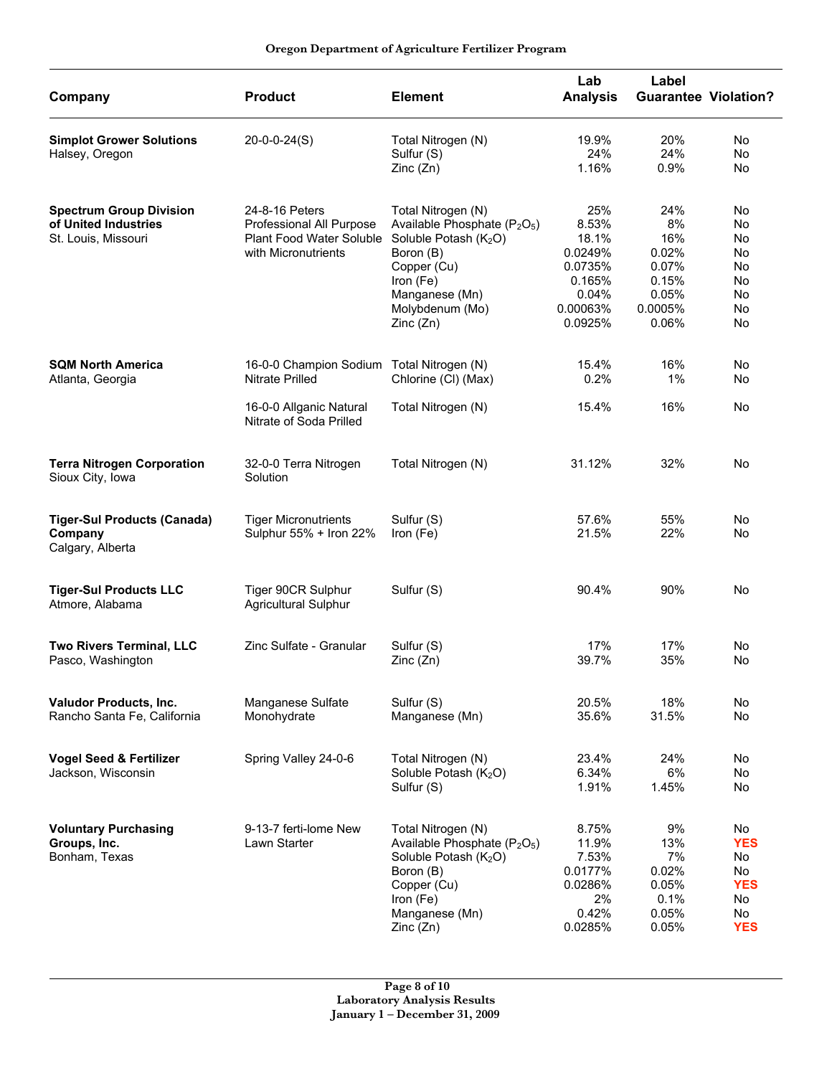| Company                                                                       | <b>Product</b>                                                                                         | <b>Element</b>                                                                                                                                                                                            | Lab<br><b>Analysis</b>                                                                | Label                                                                    | <b>Guarantee Violation?</b>                                                 |
|-------------------------------------------------------------------------------|--------------------------------------------------------------------------------------------------------|-----------------------------------------------------------------------------------------------------------------------------------------------------------------------------------------------------------|---------------------------------------------------------------------------------------|--------------------------------------------------------------------------|-----------------------------------------------------------------------------|
| <b>Simplot Grower Solutions</b><br>Halsey, Oregon                             | $20-0-0-24(S)$                                                                                         | Total Nitrogen (N)<br>Sulfur (S)<br>Zinc(Zn)                                                                                                                                                              | 19.9%<br>24%<br>1.16%                                                                 | 20%<br>24%<br>0.9%                                                       | No<br><b>No</b><br>No                                                       |
| <b>Spectrum Group Division</b><br>of United Industries<br>St. Louis, Missouri | 24-8-16 Peters<br>Professional All Purpose<br>Plant Food Water Soluble<br>with Micronutrients          | Total Nitrogen (N)<br>Available Phosphate (P <sub>2</sub> O <sub>5</sub> )<br>Soluble Potash (K <sub>2</sub> O)<br>Boron (B)<br>Copper (Cu)<br>Iron (Fe)<br>Manganese (Mn)<br>Molybdenum (Mo)<br>Zinc(Zn) | 25%<br>8.53%<br>18.1%<br>0.0249%<br>0.0735%<br>0.165%<br>0.04%<br>0.00063%<br>0.0925% | 24%<br>8%<br>16%<br>0.02%<br>0.07%<br>0.15%<br>0.05%<br>0.0005%<br>0.06% | No<br>No<br>No<br>No<br>No<br>No<br>No<br>No<br>No                          |
| <b>SQM North America</b><br>Atlanta, Georgia                                  | 16-0-0 Champion Sodium<br><b>Nitrate Prilled</b><br>16-0-0 Allganic Natural<br>Nitrate of Soda Prilled | Total Nitrogen (N)<br>Chlorine (CI) (Max)<br>Total Nitrogen (N)                                                                                                                                           | 15.4%<br>0.2%<br>15.4%                                                                | 16%<br>$1\%$<br>16%                                                      | No<br>No<br>No                                                              |
| <b>Terra Nitrogen Corporation</b><br>Sioux City, Iowa                         | 32-0-0 Terra Nitrogen<br>Solution                                                                      | Total Nitrogen (N)                                                                                                                                                                                        | 31.12%                                                                                | 32%                                                                      | No                                                                          |
| <b>Tiger-Sul Products (Canada)</b><br>Company<br>Calgary, Alberta             | <b>Tiger Micronutrients</b><br>Sulphur 55% + Iron 22%                                                  | Sulfur (S)<br>Iron (Fe)                                                                                                                                                                                   | 57.6%<br>21.5%                                                                        | 55%<br>22%                                                               | No<br>No                                                                    |
| <b>Tiger-Sul Products LLC</b><br>Atmore, Alabama                              | Tiger 90CR Sulphur<br><b>Agricultural Sulphur</b>                                                      | Sulfur (S)                                                                                                                                                                                                | 90.4%                                                                                 | 90%                                                                      | No                                                                          |
| <b>Two Rivers Terminal, LLC</b><br>Pasco, Washington                          | Zinc Sulfate - Granular                                                                                | Sulfur (S)<br>Zinc (Zn)                                                                                                                                                                                   | 17%<br>39.7%                                                                          | 17%<br>35%                                                               | No<br>No                                                                    |
| Valudor Products, Inc.<br>Rancho Santa Fe, California                         | Manganese Sulfate<br>Monohydrate                                                                       | Sulfur (S)<br>Manganese (Mn)                                                                                                                                                                              | 20.5%<br>35.6%                                                                        | 18%<br>31.5%                                                             | <b>No</b><br><b>No</b>                                                      |
| <b>Vogel Seed &amp; Fertilizer</b><br>Jackson, Wisconsin                      | Spring Valley 24-0-6                                                                                   | Total Nitrogen (N)<br>Soluble Potash (K <sub>2</sub> O)<br>Sulfur (S)                                                                                                                                     | 23.4%<br>6.34%<br>1.91%                                                               | 24%<br>6%<br>1.45%                                                       | No<br>No<br>No                                                              |
| <b>Voluntary Purchasing</b><br>Groups, Inc.<br>Bonham, Texas                  | 9-13-7 ferti-lome New<br>Lawn Starter                                                                  | Total Nitrogen (N)<br>Available Phosphate (P <sub>2</sub> O <sub>5</sub> )<br>Soluble Potash (K <sub>2</sub> O)<br>Boron (B)<br>Copper (Cu)<br>Iron (Fe)<br>Manganese (Mn)<br>Zinc(Zn)                    | 8.75%<br>11.9%<br>7.53%<br>0.0177%<br>0.0286%<br>2%<br>0.42%<br>0.0285%               | 9%<br>13%<br>7%<br>0.02%<br>0.05%<br>0.1%<br>0.05%<br>0.05%              | No<br><b>YES</b><br><b>No</b><br>No<br><b>YES</b><br>No<br>No<br><b>YES</b> |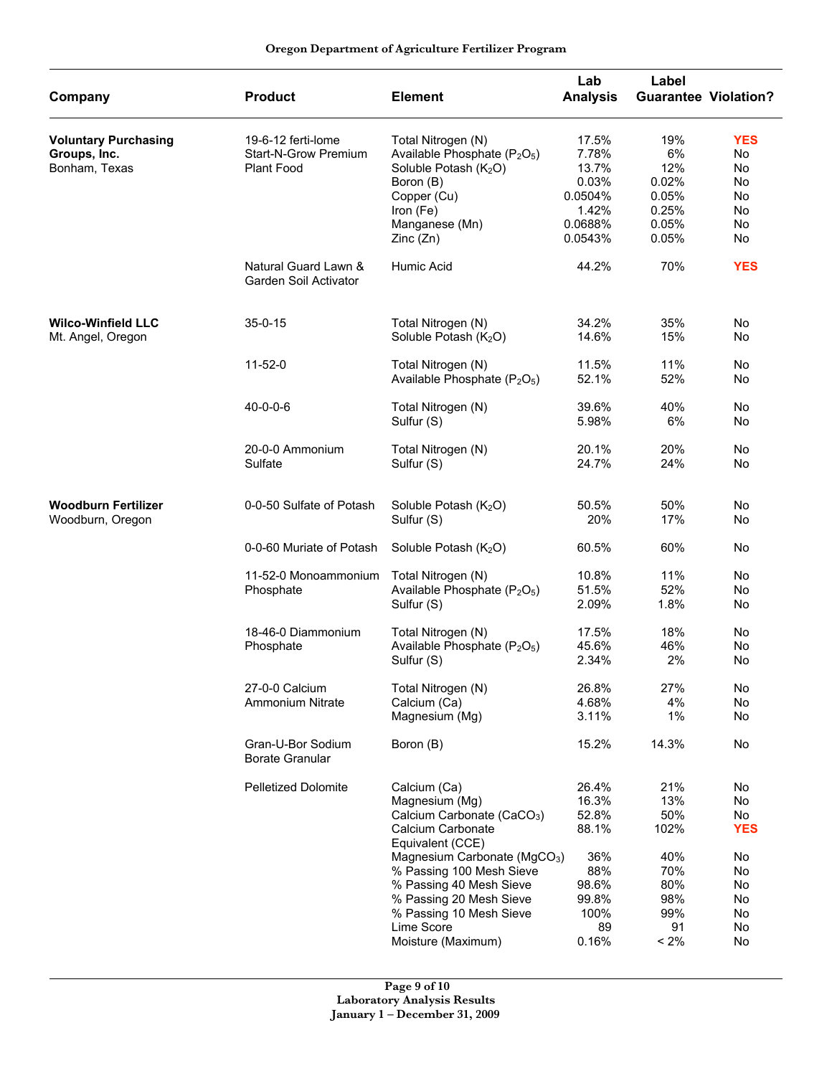| Oregon Department of Agriculture Fertilizer Program |  |  |  |
|-----------------------------------------------------|--|--|--|
|-----------------------------------------------------|--|--|--|

| Company                                                      | <b>Product</b>                                                  | <b>Element</b>                                                                                                                                                                                                                                                                                                 | Lab<br><b>Analysis</b>                                                                  | Label                                                                         | <b>Guarantee Violation?</b>                                            |
|--------------------------------------------------------------|-----------------------------------------------------------------|----------------------------------------------------------------------------------------------------------------------------------------------------------------------------------------------------------------------------------------------------------------------------------------------------------------|-----------------------------------------------------------------------------------------|-------------------------------------------------------------------------------|------------------------------------------------------------------------|
| <b>Voluntary Purchasing</b><br>Groups, Inc.<br>Bonham, Texas | 19-6-12 ferti-lome<br><b>Start-N-Grow Premium</b><br>Plant Food | Total Nitrogen (N)<br>Available Phosphate (P <sub>2</sub> O <sub>5</sub> )<br>Soluble Potash (K <sub>2</sub> O)<br>Boron (B)<br>Copper (Cu)<br>Iron (Fe)<br>Manganese (Mn)<br>Zinc(Zn)                                                                                                                         | 17.5%<br>7.78%<br>13.7%<br>0.03%<br>0.0504%<br>1.42%<br>0.0688%<br>0.0543%              | 19%<br>6%<br>12%<br>0.02%<br>0.05%<br>0.25%<br>0.05%<br>0.05%                 | <b>YES</b><br>No<br>No<br>No<br>No<br>No<br>No<br>No                   |
|                                                              | Natural Guard Lawn &<br>Garden Soil Activator                   | Humic Acid                                                                                                                                                                                                                                                                                                     | 44.2%                                                                                   | 70%                                                                           | <b>YES</b>                                                             |
| <b>Wilco-Winfield LLC</b><br>Mt. Angel, Oregon               | $35 - 0 - 15$                                                   | Total Nitrogen (N)<br>Soluble Potash (K <sub>2</sub> O)                                                                                                                                                                                                                                                        | 34.2%<br>14.6%                                                                          | 35%<br>15%                                                                    | No<br>No                                                               |
|                                                              | $11 - 52 - 0$                                                   | Total Nitrogen (N)<br>Available Phosphate (P <sub>2</sub> O <sub>5</sub> )                                                                                                                                                                                                                                     | 11.5%<br>52.1%                                                                          | 11%<br>52%                                                                    | No<br>No                                                               |
|                                                              | $40 - 0 - 0 - 6$                                                | Total Nitrogen (N)<br>Sulfur (S)                                                                                                                                                                                                                                                                               | 39.6%<br>5.98%                                                                          | 40%<br>6%                                                                     | No<br>No                                                               |
|                                                              | 20-0-0 Ammonium<br>Sulfate                                      | Total Nitrogen (N)<br>Sulfur (S)                                                                                                                                                                                                                                                                               | 20.1%<br>24.7%                                                                          | 20%<br>24%                                                                    | <b>No</b><br>No                                                        |
| Woodburn Fertilizer<br>Woodburn, Oregon                      | 0-0-50 Sulfate of Potash                                        | Soluble Potash (K2O)<br>Sulfur (S)                                                                                                                                                                                                                                                                             | 50.5%<br>20%                                                                            | 50%<br>17%                                                                    | No<br>No                                                               |
|                                                              | 0-0-60 Muriate of Potash                                        | Soluble Potash (K <sub>2</sub> O)                                                                                                                                                                                                                                                                              | 60.5%                                                                                   | 60%                                                                           | No                                                                     |
|                                                              | 11-52-0 Monoammonium<br>Phosphate                               | Total Nitrogen (N)<br>Available Phosphate (P <sub>2</sub> O <sub>5</sub> )<br>Sulfur (S)                                                                                                                                                                                                                       | 10.8%<br>51.5%<br>2.09%                                                                 | 11%<br>52%<br>1.8%                                                            | No<br>No<br>No                                                         |
|                                                              | 18-46-0 Diammonium<br>Phosphate                                 | Total Nitrogen (N)<br>Available Phosphate (P <sub>2</sub> O <sub>5</sub> )<br>Sulfur (S)                                                                                                                                                                                                                       | 17.5%<br>45.6%<br>2.34%                                                                 | 18%<br>46%<br>2%                                                              | No<br>No<br>No                                                         |
|                                                              | 27-0-0 Calcium<br><b>Ammonium Nitrate</b>                       | Total Nitrogen (N)<br>Calcium (Ca)<br>Magnesium (Mg)                                                                                                                                                                                                                                                           | 26.8%<br>4.68%<br>3.11%                                                                 | 27%<br>4%<br>$1\%$                                                            | No<br>No<br>No                                                         |
|                                                              | Gran-U-Bor Sodium<br><b>Borate Granular</b>                     | Boron (B)                                                                                                                                                                                                                                                                                                      | 15.2%                                                                                   | 14.3%                                                                         | No                                                                     |
|                                                              | Pelletized Dolomite                                             | Calcium (Ca)<br>Magnesium (Mg)<br>Calcium Carbonate (CaCO <sub>3</sub> )<br>Calcium Carbonate<br>Equivalent (CCE)<br>Magnesium Carbonate (MgCO <sub>3</sub> )<br>% Passing 100 Mesh Sieve<br>% Passing 40 Mesh Sieve<br>% Passing 20 Mesh Sieve<br>% Passing 10 Mesh Sieve<br>Lime Score<br>Moisture (Maximum) | 26.4%<br>16.3%<br>52.8%<br>88.1%<br>36%<br>88%<br>98.6%<br>99.8%<br>100%<br>89<br>0.16% | 21%<br>13%<br>50%<br>102%<br>40%<br>70%<br>80%<br>98%<br>99%<br>91<br>$< 2\%$ | No<br>No<br>No<br><b>YES</b><br>No<br>No<br>No<br>No<br>No<br>No<br>No |